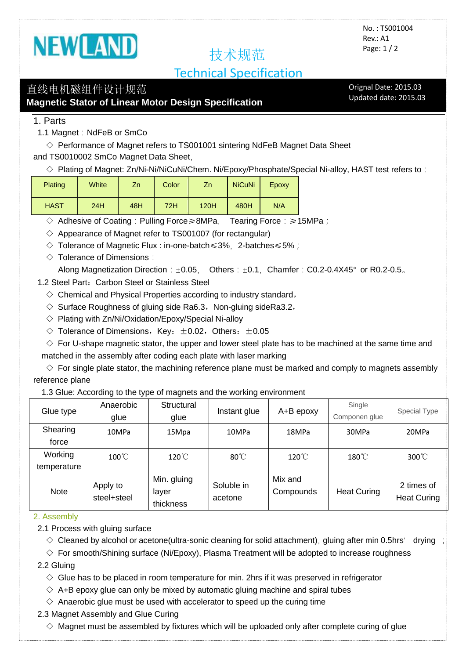

# 技术规范

## Technical Specification

## 直线电机磁组件设计规范

**Magnetic Stator of Linear Motor Design Specification**

Orignal Date: 2015.03 Updated date: 2015.03

1. Parts

1.1 Magnet: NdFeB or SmCo

 $\diamond$  Performance of Magnet refers to TS001001 sintering NdFeB Magnet Data Sheet and TS0010002 SmCo Magnet Data Sheet,

 $\Diamond$  Plating of Magnet: Zn/Ni-Ni/NiCuNi/Chem. Ni/Epoxy/Phosphate/Special Ni-alloy, HAST test refers to:

| <b>Plating</b> | White | Zn  | Color | Zn.  | <b>NiCuNi</b> | Epoxy |
|----------------|-------|-----|-------|------|---------------|-------|
| <b>HAST</b>    | 24H   | 48H | 72H   | 120H | 480H          | N/A   |

◇ Adhesive of Coating:Pulling Force≥8MPa, Tearing Force:≥15MPa;

 $\Diamond$  Appearance of Magnet refer to TS001007 (for rectangular)

- ◇ Tolerance of Magnetic Flux : in-one-batch≤3%,2-batches≤5%;
- $\Diamond$  Tolerance of Dimensions:

Along Magnetization Direction: $\pm 0.05$ , Others:  $\pm 0.1$ , Chamfer: C0.2-0.4X45° or R0.2-0.5.

- 1.2 Steel Part: Carbon Steel or Stainless Steel
	- $\diamond$  Chemical and Physical Properties according to industry standard,
	- $\Diamond$  Surface Roughness of gluing side Ra6.3, Non-gluing sideRa3.2,
	- $\Diamond$  Plating with Zn/Ni/Oxidation/Epoxy/Special Ni-alloy
	- $\Diamond$  Tolerance of Dimensions, Key:  $\pm 0.02$ , Others:  $\pm 0.05$

 $\diamond$  For U-shape magnetic stator, the upper and lower steel plate has to be machined at the same time and

matched in the assembly after coding each plate with laser marking

 $\diamondsuit$  For single plate stator, the machining reference plane must be marked and comply to magnets assembly reference plane

1.3 Glue: According to the type of magnets and the working environment

| Glue type              | Anaerobic<br>glue       | Structural<br>glue                | Instant glue          | A+B epoxy            | Single<br>Componen glue | Special Type                     |
|------------------------|-------------------------|-----------------------------------|-----------------------|----------------------|-------------------------|----------------------------------|
| Shearing<br>force      | 10MPa                   | 15Mpa                             | 10MPa                 | 18MPa                | 30MPa                   | 20MPa                            |
| Working<br>temperature | $100^{\circ}$ C         | $120^{\circ}$ C                   | $80^{\circ}$ C        | $120^{\circ}$ C      | $180^{\circ}$ C         | $300^{\circ}$ C                  |
| <b>Note</b>            | Apply to<br>steel+steel | Min. gluing<br>layer<br>thickness | Soluble in<br>acetone | Mix and<br>Compounds | <b>Heat Curing</b>      | 2 times of<br><b>Heat Curing</b> |

#### 2. Assembly

2.1 Process with gluing surface

 $\Diamond$  Cleaned by alcohol or acetone(ultra-sonic cleaning for solid attachment), gluing after min 0.5hrs' drying ;

 $\Diamond$  For smooth/Shining surface (Ni/Epoxy), Plasma Treatment will be adopted to increase roughness

2.2 Gluing

- $\diamond$  Glue has to be placed in room temperature for min. 2hrs if it was preserved in refrigerator
- $\diamond$  A+B epoxy glue can only be mixed by automatic gluing machine and spiral tubes
- $\Diamond$  Anaerobic glue must be used with accelerator to speed up the curing time

#### 2.3 Magnet Assembly and Glue Curing

 $\diamond$  Magnet must be assembled by fixtures which will be uploaded only after complete curing of glue